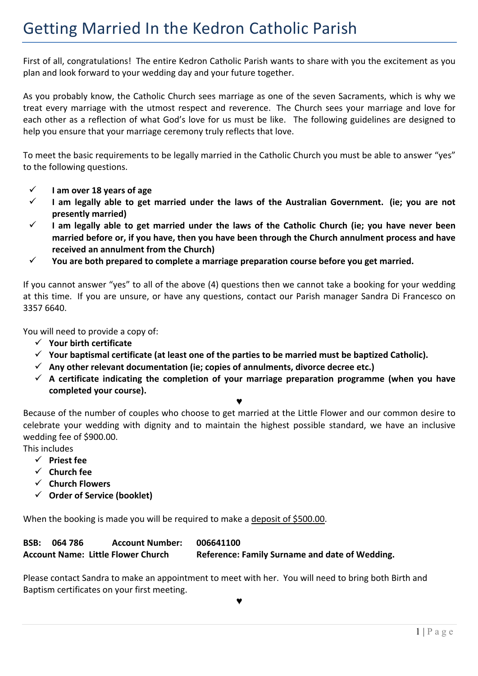First of all, congratulations! The entire Kedron Catholic Parish wants to share with you the excitement as you plan and look forward to your wedding day and your future together.

As you probably know, the Catholic Church sees marriage as one of the seven Sacraments, which is why we treat every marriage with the utmost respect and reverence. The Church sees your marriage and love for each other as a reflection of what God's love for us must be like. The following guidelines are designed to help you ensure that your marriage ceremony truly reflects that love.

To meet the basic requirements to be legally married in the Catholic Church you must be able to answer "yes" to the following questions.

- $\checkmark$  I am over 18 years of age
- $\checkmark$  I am legally able to get married under the laws of the Australian Government. (ie; you are not **presently married)**
- $\checkmark$  I am legally able to get married under the laws of the Catholic Church (ie; you have never been **married before or, if you have, then you have been through the Church annulment process and have received an annulment from the Church)**
- $\checkmark$  You are both prepared to complete a marriage preparation course before you get married.

If you cannot answer "yes" to all of the above (4) questions then we cannot take a booking for your wedding at this time. If you are unsure, or have any questions, contact our Parish manager Sandra Di Francesco on 3357 6640.

You will need to provide a copy of:

- ü **Your birth certificate**
- $\checkmark$  Your baptismal certificate (at least one of the parties to be married must be baptized Catholic).
- $\checkmark$  Any other relevant documentation (ie; copies of annulments, divorce decree etc.)
- $\checkmark$  A certificate indicating the completion of your marriage preparation programme (when you have **completed your course).**

♥

Because of the number of couples who choose to get married at the Little Flower and our common desire to celebrate your wedding with dignity and to maintain the highest possible standard, we have an inclusive wedding fee of \$900.00.

This includes

- ü **Priest fee**
- $\checkmark$  Church fee
- ü **Church Flowers**
- ü **Order of Service (booklet)**

When the booking is made you will be required to make a deposit of \$500.00.

| <b>BSB:</b> | 064 786 | <b>Account Number:</b>                    | 006641100                                      |
|-------------|---------|-------------------------------------------|------------------------------------------------|
|             |         | <b>Account Name: Little Flower Church</b> | Reference: Family Surname and date of Wedding. |

Please contact Sandra to make an appointment to meet with her. You will need to bring both Birth and Baptism certificates on your first meeting.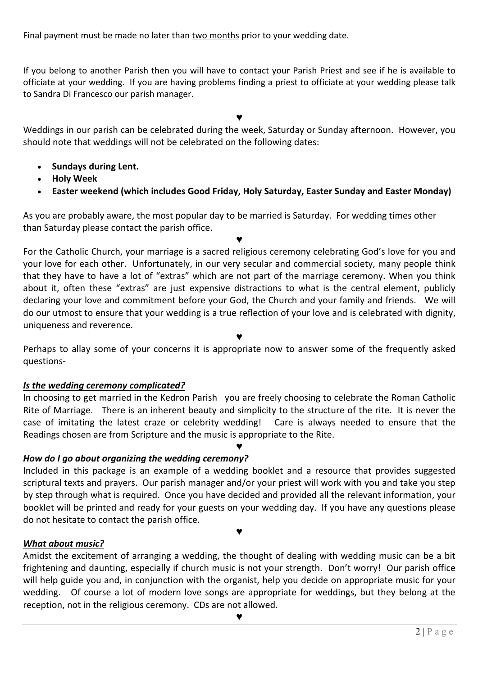Final payment must be made no later than two months prior to your wedding date.

If you belong to another Parish then you will have to contact your Parish Priest and see if he is available to officiate at your wedding. If you are having problems finding a priest to officiate at your wedding please talk to Sandra Di Francesco our parish manager.

#### ♥

Weddings in our parish can be celebrated during the week, Saturday or Sunday afternoon. However, you should note that weddings will not be celebrated on the following dates:

- **Sundays during Lent.**
- **Holy Week**
- **Easter weekend (which includes Good Friday, Holy Saturday, Easter Sunday and Easter Monday)**

As you are probably aware, the most popular day to be married is Saturday. For wedding times other than Saturday please contact the parish office.

♥ For the Catholic Church, your marriage is a sacred religious ceremony celebrating God's love for you and your love for each other. Unfortunately, in our very secular and commercial society, many people think that they have to have a lot of "extras" which are not part of the marriage ceremony. When you think about it, often these "extras" are just expensive distractions to what is the central element, publicly declaring your love and commitment before your God, the Church and your family and friends. We will do our utmost to ensure that your wedding is a true reflection of your love and is celebrated with dignity, uniqueness and reverence.

Perhaps to allay some of your concerns it is appropriate now to answer some of the frequently asked questions-

♥

### *Is the wedding ceremony complicated?*

In choosing to get married in the Kedron Parish you are freely choosing to celebrate the Roman Catholic Rite of Marriage. There is an inherent beauty and simplicity to the structure of the rite. It is never the case of imitating the latest craze or celebrity wedding! Care is always needed to ensure that the Readings chosen are from Scripture and the music is appropriate to the Rite.

♥

### *How do I go about organizing the wedding ceremony?*

Included in this package is an example of a wedding booklet and a resource that provides suggested scriptural texts and prayers. Our parish manager and/or your priest will work with you and take you step by step through what is required. Once you have decided and provided all the relevant information, your booklet will be printed and ready for your guests on your wedding day. If you have any questions please do not hesitate to contact the parish office.

♥

### *What about music?*

Amidst the excitement of arranging a wedding, the thought of dealing with wedding music can be a bit frightening and daunting, especially if church music is not your strength. Don't worry! Our parish office will help guide you and, in conjunction with the organist, help you decide on appropriate music for your wedding. Of course a lot of modern love songs are appropriate for weddings, but they belong at the reception, not in the religious ceremony. CDs are not allowed.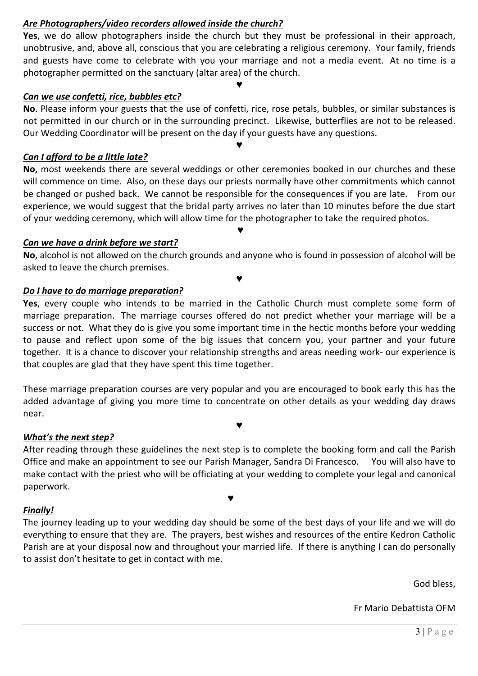### *Are Photographers/video recorders allowed inside the church?*

**Yes**, we do allow photographers inside the church but they must be professional in their approach, unobtrusive, and, above all, conscious that you are celebrating a religious ceremony. Your family, friends and guests have come to celebrate with you your marriage and not a media event. At no time is a photographer permitted on the sanctuary (altar area) of the church.

♥

#### *Can we use confetti, rice, bubbles etc?*

**No**. Please inform your guests that the use of confetti, rice, rose petals, bubbles, or similar substances is not permitted in our church or in the surrounding precinct. Likewise, butterflies are not to be released. Our Wedding Coordinator will be present on the day if your guests have any questions.

♥

#### *Can I afford to be a little late?*

**No,** most weekends there are several weddings or other ceremonies booked in our churches and these will commence on time. Also, on these days our priests normally have other commitments which cannot be changed or pushed back. We cannot be responsible for the consequences if you are late. From our experience, we would suggest that the bridal party arrives no later than 10 minutes before the due start of your wedding ceremony, which will allow time for the photographer to take the required photos.

#### *Can we have a drink before we start?*

**No**, alcohol is not allowed on the church grounds and anyone who is found in possession of alcohol will be asked to leave the church premises.

♥

♥

#### *Do I have to do marriage preparation?*

**Yes**, every couple who intends to be married in the Catholic Church must complete some form of marriage preparation. The marriage courses offered do not predict whether your marriage will be a success or not. What they do is give you some important time in the hectic months before your wedding to pause and reflect upon some of the big issues that concern you, your partner and your future together. It is a chance to discover your relationship strengths and areas needing work- our experience is that couples are glad that they have spent this time together.

These marriage preparation courses are very popular and you are encouraged to book early this has the added advantage of giving you more time to concentrate on other details as your wedding day draws near.

♥

#### *What's the next step?*

After reading through these guidelines the next step is to complete the booking form and call the Parish Office and make an appointment to see our Parish Manager, Sandra Di Francesco. You will also have to make contact with the priest who will be officiating at your wedding to complete your legal and canonical paperwork.

♥

#### *Finally!*

The journey leading up to your wedding day should be some of the best days of your life and we will do everything to ensure that they are. The prayers, best wishes and resources of the entire Kedron Catholic Parish are at your disposal now and throughout your married life. If there is anything I can do personally to assist don't hesitate to get in contact with me.

God bless,

Fr Mario Debattista OFM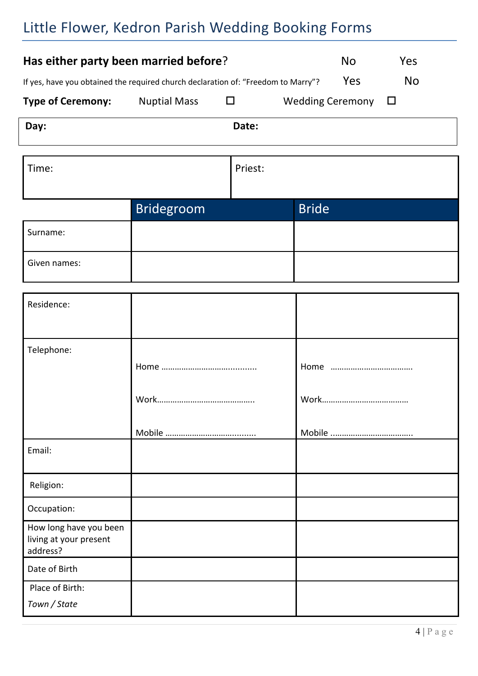# Little Flower, Kedron Parish Wedding Booking Forms

| Has either party been married before?                                             |                     |         | <b>No</b>               | Yes       |
|-----------------------------------------------------------------------------------|---------------------|---------|-------------------------|-----------|
| If yes, have you obtained the required church declaration of: "Freedom to Marry"? |                     |         | Yes                     | <b>No</b> |
| <b>Type of Ceremony:</b>                                                          | <b>Nuptial Mass</b> | $\Box$  | Wedding Ceremony $\Box$ |           |
| Day:                                                                              |                     | Date:   |                         |           |
| Time:                                                                             |                     | Priest: |                         |           |
|                                                                                   | Bridegroom          |         | <b>Bride</b>            |           |
| Surname:                                                                          |                     |         |                         |           |
| Given names:                                                                      |                     |         |                         |           |
| Residence:                                                                        |                     |         |                         |           |
| Telephone:                                                                        |                     |         |                         |           |
|                                                                                   |                     |         |                         |           |
| Email:                                                                            |                     |         |                         |           |
| Religion:                                                                         |                     |         |                         |           |
| Occupation:                                                                       |                     |         |                         |           |
| How long have you been<br>living at your present<br>address?                      |                     |         |                         |           |
| Date of Birth                                                                     |                     |         |                         |           |
| Place of Birth:<br>Town / State                                                   |                     |         |                         |           |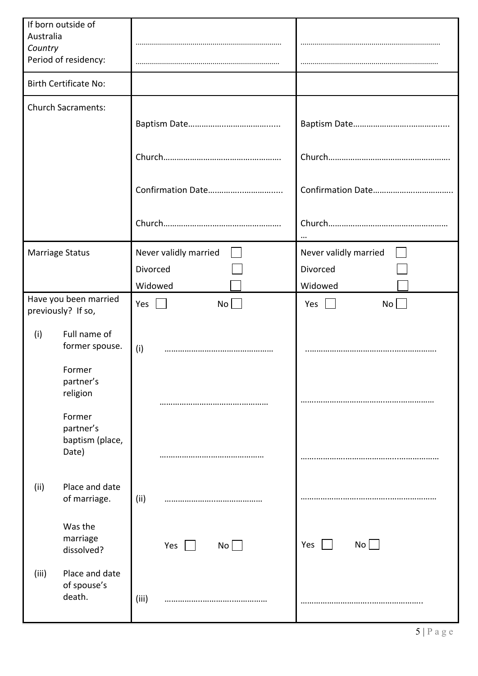| If born outside of<br>Australia<br>Country<br>Period of residency: |                                              |                                              |
|--------------------------------------------------------------------|----------------------------------------------|----------------------------------------------|
| <b>Birth Certificate No:</b>                                       |                                              |                                              |
| <b>Church Sacraments:</b>                                          |                                              |                                              |
|                                                                    |                                              |                                              |
|                                                                    | Confirmation Date                            |                                              |
|                                                                    |                                              |                                              |
| Marriage Status                                                    | Never validly married<br>Divorced<br>Widowed | Never validly married<br>Divorced<br>Widowed |
| Have you been married<br>previously? If so,                        | Yes $\vert \ \vert$<br>No                    | No<br>Yes                                    |
| Full name of<br>(i)<br>former spouse.                              | (i)                                          |                                              |
| Former<br>partner's<br>religion                                    |                                              |                                              |
| Former<br>partner's<br>baptism (place,                             |                                              |                                              |
| Date)                                                              |                                              |                                              |
| (ii)<br>Place and date<br>of marriage.                             | (ii)                                         |                                              |
| Was the<br>marriage<br>dissolved?                                  | Yes $\vert$<br>No                            | No<br>Yes                                    |
| (iii)<br>Place and date<br>of spouse's<br>death.                   | (iii)                                        |                                              |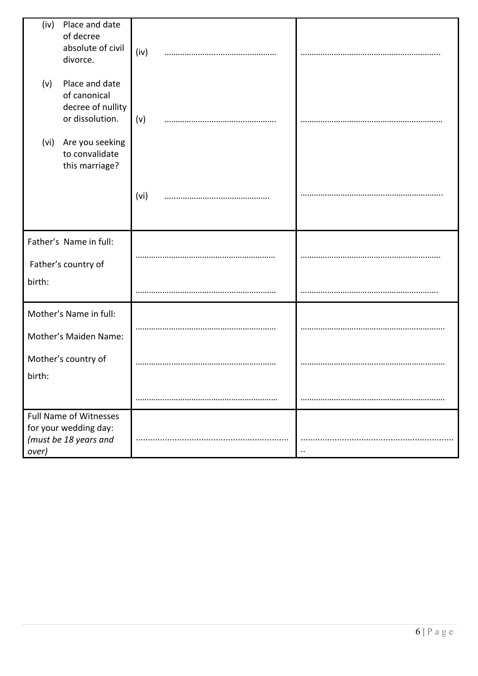| (iv)                                                                                     | Place and date<br>of decree<br>absolute of civil<br>divorce.                                                | (iv) |  |  |
|------------------------------------------------------------------------------------------|-------------------------------------------------------------------------------------------------------------|------|--|--|
| (v)<br>(vi)                                                                              | Place and date<br>of canonical<br>decree of nullity<br>or dissolution.<br>Are you seeking<br>to convalidate | (v)  |  |  |
|                                                                                          | this marriage?                                                                                              | (vi) |  |  |
| Father's Name in full:                                                                   |                                                                                                             |      |  |  |
| Father's country of<br>birth:                                                            |                                                                                                             |      |  |  |
| Mother's Name in full:                                                                   |                                                                                                             |      |  |  |
| Mother's Maiden Name:                                                                    |                                                                                                             |      |  |  |
| Mother's country of<br>birth:                                                            |                                                                                                             |      |  |  |
|                                                                                          |                                                                                                             |      |  |  |
| <b>Full Name of Witnesses</b><br>for your wedding day:<br>(must be 18 years and<br>over) |                                                                                                             |      |  |  |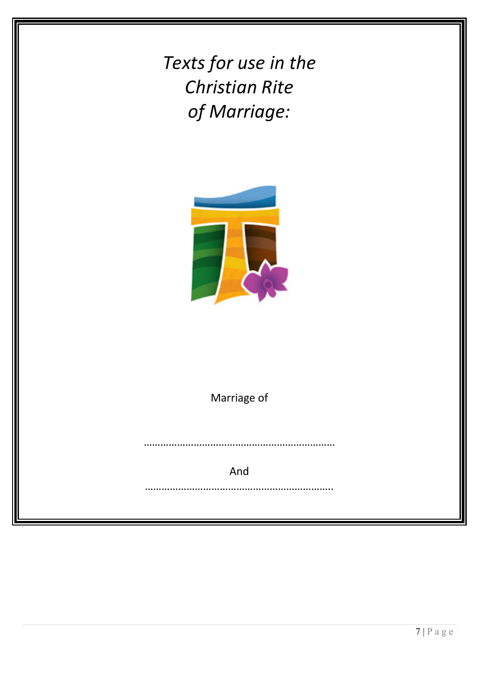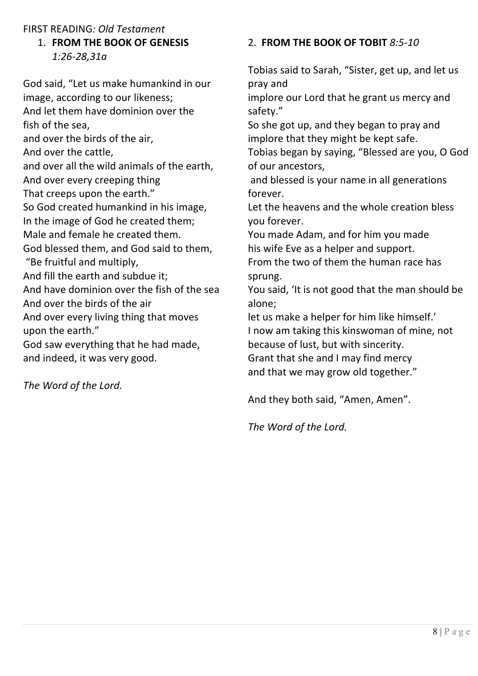# FIRST READING*: Old Testament*

1. **FROM THE BOOK OF GENESIS** *1:26-28,31a*

God said, "Let us make humankind in our image, according to our likeness; And let them have dominion over the fish of the sea, and over the birds of the air, And over the cattle, and over all the wild animals of the earth, And over every creeping thing That creeps upon the earth." So God created humankind in his image, In the image of God he created them; Male and female he created them. God blessed them, and God said to them, "Be fruitful and multiply, And fill the earth and subdue it; And have dominion over the fish of the sea And over the birds of the air And over every living thing that moves upon the earth." God saw everything that he had made, and indeed, it was very good.

*The Word of the Lord.*

# 2. **FROM THE BOOK OF TOBIT** *8:5-10*

Tobias said to Sarah, "Sister, get up, and let us pray and implore our Lord that he grant us mercy and safety." So she got up, and they began to pray and implore that they might be kept safe. Tobias began by saying, "Blessed are you, O God of our ancestors, and blessed is your name in all generations forever. Let the heavens and the whole creation bless you forever. You made Adam, and for him you made his wife Eve as a helper and support. From the two of them the human race has sprung. You said, 'It is not good that the man should be alone; let us make a helper for him like himself.' I now am taking this kinswoman of mine, not because of lust, but with sincerity. Grant that she and I may find mercy and that we may grow old together."

And they both said, "Amen, Amen".

*The Word of the Lord.*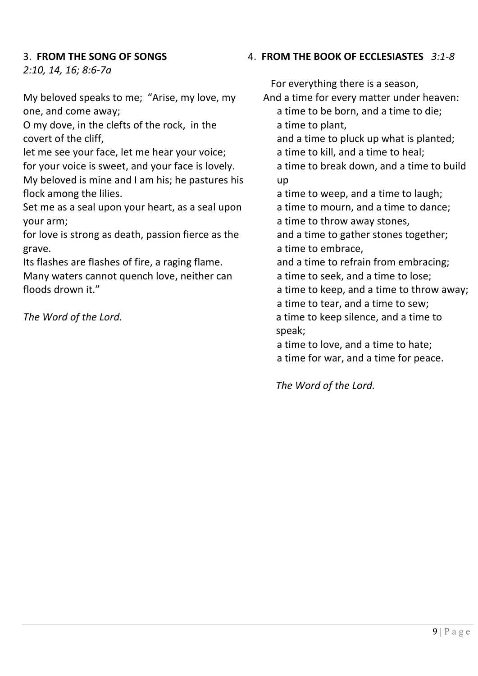# 3. **FROM THE SONG OF SONGS**

*2:10, 14, 16; 8:6-7a*

My beloved speaks to me; "Arise, my love, my one, and come away;

O my dove, in the clefts of the rock, in the covert of the cliff,

let me see your face, let me hear your voice; for your voice is sweet, and your face is lovely. My beloved is mine and I am his; he pastures his flock among the lilies.

Set me as a seal upon your heart, as a seal upon your arm;

for love is strong as death, passion fierce as the grave.

Its flashes are flashes of fire, a raging flame. Many waters cannot quench love, neither can floods drown it."

*The Word of the Lord.*

# 4. **FROM THE BOOK OF ECCLESIASTES** *3:1-8*

 For everything there is a season, And a time for every matter under heaven: a time to be born, and a time to die; a time to plant, and a time to pluck up what is planted; a time to kill, and a time to heal; a time to break down, and a time to build up a time to weep, and a time to laugh; a time to mourn, and a time to dance; a time to throw away stones, and a time to gather stones together; a time to embrace, and a time to refrain from embracing; a time to seek, and a time to lose; a time to keep, and a time to throw away; a time to tear, and a time to sew; a time to keep silence, and a time to speak; a time to love, and a time to hate; a time for war, and a time for peace.

 *The Word of the Lord.*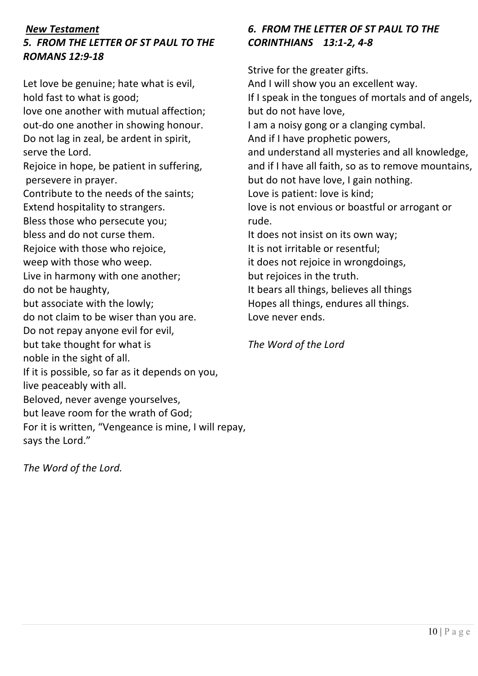# *New Testament 5. FROM THE LETTER OF ST PAUL TO THE ROMANS 12:9-18*

Let love be genuine; hate what is evil, hold fast to what is good; love one another with mutual affection; out-do one another in showing honour. Do not lag in zeal, be ardent in spirit, serve the Lord. Rejoice in hope, be patient in suffering, persevere in prayer. Contribute to the needs of the saints; Extend hospitality to strangers. Bless those who persecute you; bless and do not curse them. Rejoice with those who rejoice, weep with those who weep. Live in harmony with one another; do not be haughty, but associate with the lowly; do not claim to be wiser than you are. Do not repay anyone evil for evil, but take thought for what is noble in the sight of all. If it is possible, so far as it depends on you, live peaceably with all. Beloved, never avenge yourselves, but leave room for the wrath of God; For it is written, "Vengeance is mine, I will repay, says the Lord."

*The Word of the Lord.*

# *6. FROM THE LETTER OF ST PAUL TO THE CORINTHIANS 13:1-2, 4-8*

Strive for the greater gifts. And I will show you an excellent way. If I speak in the tongues of mortals and of angels, but do not have love, I am a noisy gong or a clanging cymbal. And if I have prophetic powers, and understand all mysteries and all knowledge, and if I have all faith, so as to remove mountains, but do not have love, I gain nothing. Love is patient: love is kind; love is not envious or boastful or arrogant or rude. It does not insist on its own way; It is not irritable or resentful; it does not rejoice in wrongdoings, but rejoices in the truth. It bears all things, believes all things Hopes all things, endures all things. Love never ends.

*The Word of the Lord*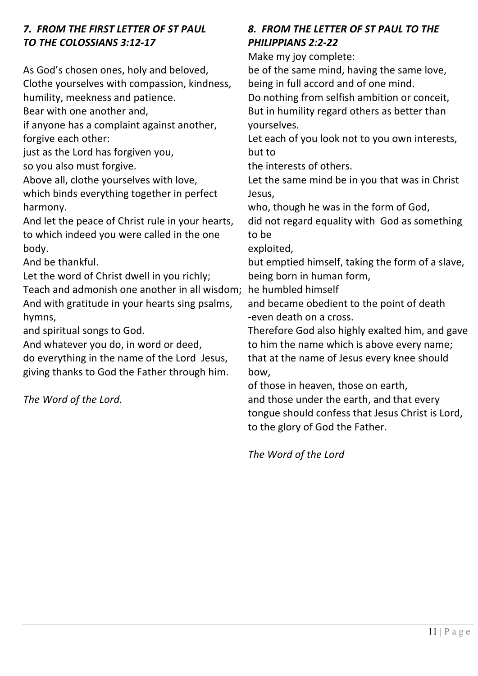# *7. FROM THE FIRST LETTER OF ST PAUL TO THE COLOSSIANS 3:12-17*

As God's chosen ones, holy and beloved, Clothe yourselves with compassion, kindness, humility, meekness and patience.

Bear with one another and,

if anyone has a complaint against another, forgive each other:

just as the Lord has forgiven you,

so you also must forgive.

Above all, clothe yourselves with love, which binds everything together in perfect harmony.

And let the peace of Christ rule in your hearts, to which indeed you were called in the one body.

And be thankful.

Let the word of Christ dwell in you richly;

Teach and admonish one another in all wisdom; And with gratitude in your hearts sing psalms, hymns,

and spiritual songs to God.

And whatever you do, in word or deed, do everything in the name of the Lord Jesus, giving thanks to God the Father through him.

*The Word of the Lord.*

# *8. FROM THE LETTER OF ST PAUL TO THE PHILIPPIANS 2:2-22*

Make my joy complete:

be of the same mind, having the same love, being in full accord and of one mind.

Do nothing from selfish ambition or conceit, But in humility regard others as better than yourselves.

Let each of you look not to you own interests, but to

the interests of others.

Let the same mind be in you that was in Christ Jesus,

who, though he was in the form of God,

did not regard equality with God as something to be

exploited,

but emptied himself, taking the form of a slave, being born in human form,

he humbled himself

and became obedient to the point of death -even death on a cross.

Therefore God also highly exalted him, and gave to him the name which is above every name; that at the name of Jesus every knee should bow,

of those in heaven, those on earth, and those under the earth, and that every tongue should confess that Jesus Christ is Lord, to the glory of God the Father.

*The Word of the Lord*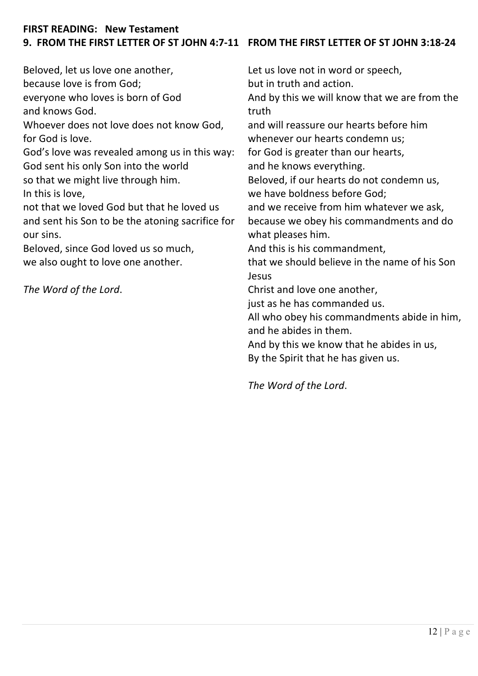# **FIRST READING: New Testament 9. FROM THE FIRST LETTER OF ST JOHN 4:7-11 FROM THE FIRST LETTER OF ST JOHN 3:18-24**

Beloved, let us love one another, because love is from God; everyone who loves is born of God and knows God. Whoever does not love does not know God, for God is love. God's love was revealed among us in this way: God sent his only Son into the world so that we might live through him. In this is love, not that we loved God but that he loved us and sent his Son to be the atoning sacrifice for our sins. Beloved, since God loved us so much, we also ought to love one another. *The Word of the Lord*. Let us love not in word or speech, but in truth and action. And by this we will know that we are from the truth and will reassure our hearts before him whenever our hearts condemn us: for God is greater than our hearts, and he knows everything. Beloved, if our hearts do not condemn us, we have boldness before God; and we receive from him whatever we ask, because we obey his commandments and do what pleases him. And this is his commandment, that we should believe in the name of his Son Jesus Christ and love one another, just as he has commanded us. All who obey his commandments abide in him, and he abides in them. And by this we know that he abides in us, By the Spirit that he has given us.

*The Word of the Lord*.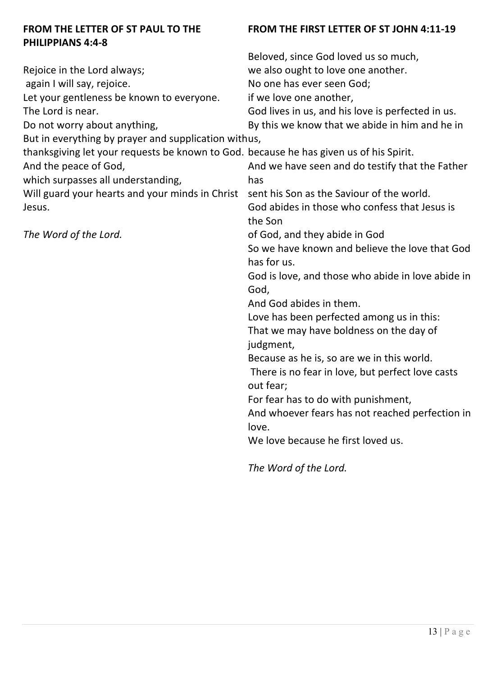### **FROM THE LETTER OF ST PAUL TO THE PHILIPPIANS 4:4-8**

# **FROM THE FIRST LETTER OF ST JOHN 4:11-19**

|                                                                                        | Beloved, since God loved us so much,              |
|----------------------------------------------------------------------------------------|---------------------------------------------------|
| Rejoice in the Lord always;                                                            | we also ought to love one another.                |
| again I will say, rejoice.                                                             | No one has ever seen God;                         |
| Let your gentleness be known to everyone.                                              | if we love one another,                           |
| The Lord is near.                                                                      | God lives in us, and his love is perfected in us. |
| Do not worry about anything,                                                           | By this we know that we abide in him and he in    |
| But in everything by prayer and supplication withus,                                   |                                                   |
| thanksgiving let your requests be known to God. because he has given us of his Spirit. |                                                   |
| And the peace of God,                                                                  | And we have seen and do testify that the Father   |
| which surpasses all understanding,                                                     | has                                               |
| Will guard your hearts and your minds in Christ                                        | sent his Son as the Saviour of the world.         |
| Jesus.                                                                                 | God abides in those who confess that Jesus is     |
|                                                                                        | the Son                                           |
| The Word of the Lord.                                                                  | of God, and they abide in God                     |
|                                                                                        | So we have known and believe the love that God    |
|                                                                                        | has for us.                                       |
|                                                                                        | God is love, and those who abide in love abide in |
|                                                                                        | God,                                              |
|                                                                                        | And God abides in them.                           |
|                                                                                        | Love has been perfected among us in this:         |
|                                                                                        | That we may have boldness on the day of           |
|                                                                                        | judgment,                                         |
|                                                                                        | Because as he is, so are we in this world.        |
|                                                                                        | There is no fear in love, but perfect love casts  |
|                                                                                        | out fear;                                         |
|                                                                                        | For fear has to do with punishment,               |
|                                                                                        | And whoever fears has not reached perfection in   |
|                                                                                        | love.                                             |
|                                                                                        | We love because he first loved us.                |
|                                                                                        | The Word of the Lord.                             |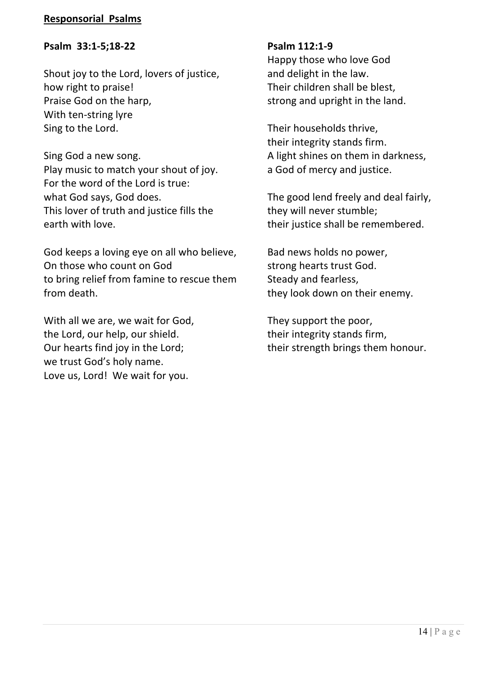### **Responsorial Psalms**

### **Psalm 33:1-5;18-22**

Shout joy to the Lord, lovers of justice, how right to praise! Praise God on the harp, With ten-string lyre Sing to the Lord.

Sing God a new song. Play music to match your shout of joy. For the word of the Lord is true: what God says, God does. This lover of truth and justice fills the earth with love.

God keeps a loving eye on all who believe, On those who count on God to bring relief from famine to rescue them from death.

With all we are, we wait for God, the Lord, our help, our shield. Our hearts find joy in the Lord; we trust God's holy name. Love us, Lord! We wait for you.

# **Psalm 112:1-9**

Happy those who love God and delight in the law. Their children shall be blest, strong and upright in the land.

Their households thrive, their integrity stands firm. A light shines on them in darkness, a God of mercy and justice.

The good lend freely and deal fairly, they will never stumble; their justice shall be remembered.

Bad news holds no power, strong hearts trust God. Steady and fearless, they look down on their enemy.

They support the poor, their integrity stands firm, their strength brings them honour.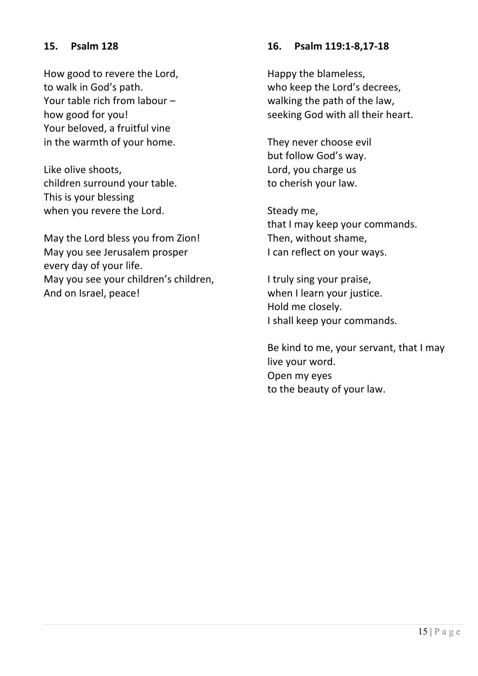# **15. Psalm 128**

How good to revere the Lord, to walk in God's path. Your table rich from labour – how good for you! Your beloved, a fruitful vine in the warmth of your home.

Like olive shoots, children surround your table. This is your blessing when you revere the Lord.

May the Lord bless you from Zion! May you see Jerusalem prosper every day of your life. May you see your children's children, And on Israel, peace!

### **16. Psalm 119:1-8,17-18**

Happy the blameless, who keep the Lord's decrees, walking the path of the law, seeking God with all their heart.

They never choose evil but follow God's way. Lord, you charge us to cherish your law.

Steady me, that I may keep your commands. Then, without shame, I can reflect on your ways.

I truly sing your praise, when I learn your justice. Hold me closely. I shall keep your commands.

Be kind to me, your servant, that I may live your word. Open my eyes to the beauty of your law.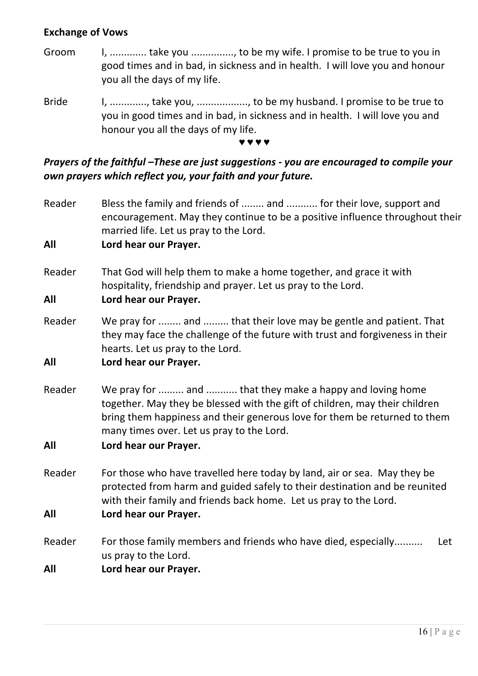### **Exchange of Vows**

- Groom I, .............. take you ................, to be my wife. I promise to be true to you in good times and in bad, in sickness and in health. I will love you and honour you all the days of my life.
- Bride I, ............., take you, ...................., to be my husband. I promise to be true to you in good times and in bad, in sickness and in health. I will love you and honour you all the days of my life.

♥ ♥ ♥ ♥

# *Prayers of the faithful –These are just suggestions - you are encouraged to compile your own prayers which reflect you, your faith and your future.*

Reader Bless the family and friends of ........ and ........... for their love, support and encouragement. May they continue to be a positive influence throughout their married life. Let us pray to the Lord.

**All Lord hear our Prayer.**

Reader That God will help them to make a home together, and grace it with hospitality, friendship and prayer. Let us pray to the Lord.

### **All Lord hear our Prayer.**

Reader We pray for ........ and ......... that their love may be gentle and patient. That they may face the challenge of the future with trust and forgiveness in their hearts. Let us pray to the Lord.

# **All Lord hear our Prayer.**

Reader We pray for ......... and ........... that they make a happy and loving home together. May they be blessed with the gift of children, may their children bring them happiness and their generous love for them be returned to them many times over. Let us pray to the Lord.

# **All Lord hear our Prayer.**

- Reader For those who have travelled here today by land, air or sea. May they be protected from harm and guided safely to their destination and be reunited with their family and friends back home. Let us pray to the Lord. **All Lord hear our Prayer.**
- Reader For those family members and friends who have died, especially.......... Let us pray to the Lord.

**All Lord hear our Prayer.**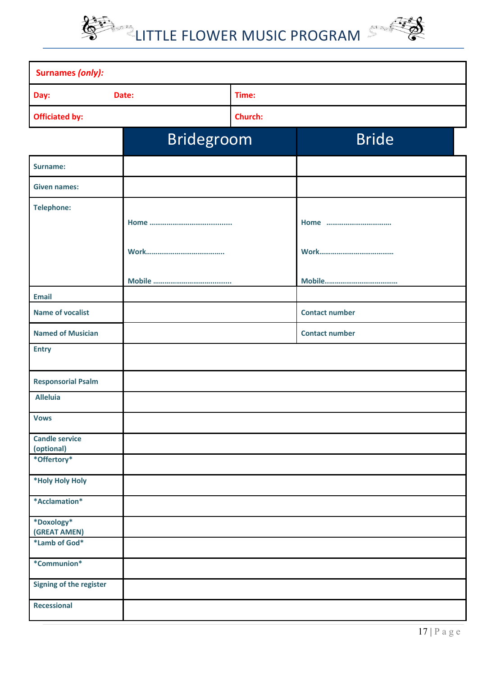



| <b>Surnames (only):</b>             |       |                |                       |
|-------------------------------------|-------|----------------|-----------------------|
| Day:                                | Date: | Time:          |                       |
| <b>Officiated by:</b>               |       | <b>Church:</b> |                       |
|                                     |       | Bridegroom     | <b>Bride</b>          |
| Surname:                            |       |                |                       |
| <b>Given names:</b>                 |       |                |                       |
| Telephone:                          |       |                | Home                  |
|                                     |       |                |                       |
|                                     |       |                |                       |
| <b>Email</b>                        |       |                |                       |
| <b>Name of vocalist</b>             |       |                | <b>Contact number</b> |
| <b>Named of Musician</b>            |       |                | <b>Contact number</b> |
| <b>Entry</b>                        |       |                |                       |
| <b>Responsorial Psalm</b>           |       |                |                       |
| <b>Alleluia</b>                     |       |                |                       |
| <b>Vows</b>                         |       |                |                       |
| <b>Candle service</b><br>(optional) |       |                |                       |
| *Offertory*                         |       |                |                       |
| *Holy Holy Holy                     |       |                |                       |
| *Acclamation*                       |       |                |                       |
| *Doxology*<br>(GREAT AMEN)          |       |                |                       |
| *Lamb of God*                       |       |                |                       |
| *Communion*                         |       |                |                       |
| Signing of the register             |       |                |                       |
| <b>Recessional</b>                  |       |                |                       |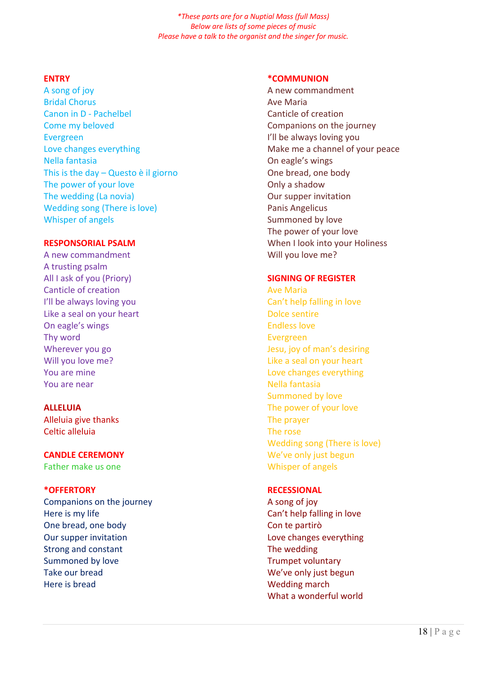*\*These parts are for a Nuptial Mass (full Mass) Below are lists of some pieces of music Please have a talk to the organist and the singer for music.*

#### **ENTRY**

A song of joy Bridal Chorus Canon in D - Pachelbel Come my beloved Evergreen Love changes everything Nella fantasia This is the day – Questo è il giorno The power of your love The wedding (La novia) Wedding song (There is love) Whisper of angels

#### **RESPONSORIAL PSALM**

A new commandment A trusting psalm All I ask of you (Priory) Canticle of creation I'll be always loving you Like a seal on your heart On eagle's wings Thy word Wherever you go Will you love me? You are mine You are near

# **ALLELUIA**

Alleluia give thanks Celtic alleluia

### **CANDLE CEREMONY**

Father make us one

#### **\*OFFERTORY**

Companions on the journey Here is my life One bread, one body Our supper invitation Strong and constant Summoned by love Take our bread Here is bread

#### **\*COMMUNION**

A new commandment Ave Maria Canticle of creation Companions on the journey I'll be always loving you Make me a channel of your peace On eagle's wings One bread, one body Only a shadow Our supper invitation Panis Angelicus Summoned by love The power of your love When I look into your Holiness Will you love me?

#### **SIGNING OF REGISTER**

Ave Maria Can't help falling in love Dolce sentire Endless love Evergreen Jesu, joy of man's desiring Like a seal on your heart Love changes everything Nella fantasia Summoned by love The power of your love The prayer The rose Wedding song (There is love) We've only just begun Whisper of angels

### **RECESSIONAL**

A song of joy Can't help falling in love Con te partirò Love changes everything The wedding Trumpet voluntary We've only just begun Wedding march What a wonderful world